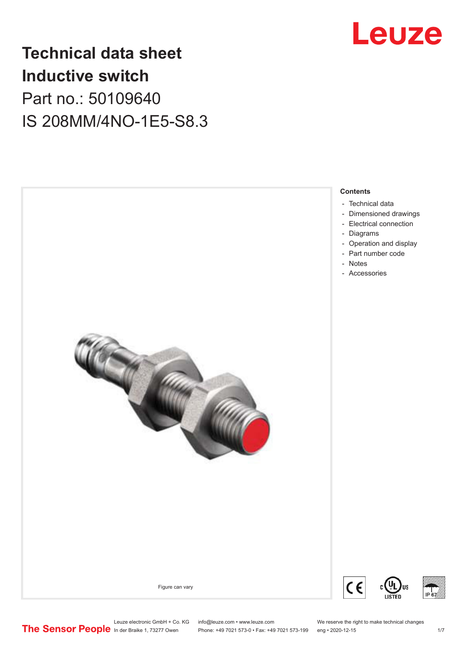

## **Technical data sheet Inductive switch** Part no.: 50109640 IS 208MM/4NO-1E5-S8.3



Leuze electronic GmbH + Co. KG info@leuze.com • www.leuze.com We reserve the right to make technical changes<br>
The Sensor People in der Braike 1, 73277 Owen Phone: +49 7021 573-0 • Fax: +49 7021 573-199 eng • 2020-12-15

Phone: +49 7021 573-0 • Fax: +49 7021 573-199 eng • 2020-12-15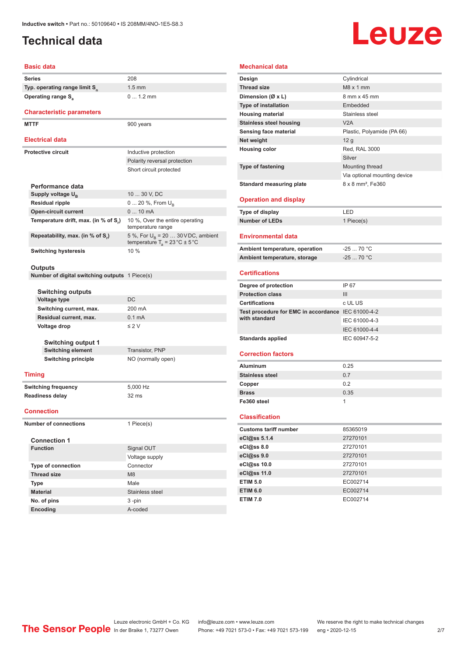## <span id="page-1-0"></span>**Technical data**

# Leuze

#### **Basic data**

| Series                                    | 208 |
|-------------------------------------------|-----|
| Typ. operating range limit S <sub>n</sub> | 1.5 |
| <b>Operating range S</b>                  |     |

#### **Characteristic parameters**

MTTF 900 years

#### **Electrical data**

|  | <b>Electrical data</b>               |                                                                                           |
|--|--------------------------------------|-------------------------------------------------------------------------------------------|
|  | Protective circuit                   | Inductive protection                                                                      |
|  |                                      | Polarity reversal protection                                                              |
|  |                                      | Short circuit protected                                                                   |
|  | Performance data                     |                                                                                           |
|  | Supply voltage U <sub>p</sub>        | 10  30 V, DC                                                                              |
|  | <b>Residual ripple</b>               | $0 20 \%$ , From $U_{\rm B}$                                                              |
|  | <b>Open-circuit current</b>          | $010$ mA                                                                                  |
|  | Temperature drift, max. (in % of S.) | 10 %, Over the entire operating<br>temperature range                                      |
|  | Repeatability, max. (in % of S.)     | 5 %, For $U_R$ = 20  30 V DC, ambient<br>temperature $T_a = 23 \degree C \pm 5 \degree C$ |
|  | <b>Switching hysteresis</b>          | 10%                                                                                       |
|  |                                      |                                                                                           |

1.5 mm

0 ... 1.2 mm

#### **Outputs**

**Number of digital switching outputs** 1 Piece(s)

| <b>Switching outputs</b>  |                    |  |
|---------------------------|--------------------|--|
| Voltage type              | DC.                |  |
| Switching current, max.   | 200 mA             |  |
| Residual current, max.    | $0.1 \text{ mA}$   |  |
| Voltage drop              | $\leq$ 2 V         |  |
| <b>Switching output 1</b> |                    |  |
| <b>Switching element</b>  | Transistor, PNP    |  |
| Switching principle       | NO (normally open) |  |

#### **Timing**

**Switching frequency** 5,000 Hz **Readiness delay** 32 ms

#### **Connection**

**Number of connections** 1 Piece(s)

| <b>Connection 1</b>       |                 |
|---------------------------|-----------------|
| <b>Function</b>           | Signal OUT      |
|                           | Voltage supply  |
| <b>Type of connection</b> | Connector       |
| <b>Thread size</b>        | M <sub>8</sub>  |
| <b>Type</b>               | Male            |
| <b>Material</b>           | Stainless steel |
| No. of pins               | $3 - pin$       |
| <b>Encoding</b>           | A-coded         |

#### **Mechanical data Design** Cylindrical **Thread size** M8 x 1 mm **Dimension (Ø x L)** 8 mm x 45 mm **Type of installation** Embedded **Housing material** Stainless steel **Stainless steel housing WA V2A Sensing face material** Plastic, Polyamide (PA 66) **Net weight** 12 g **Housing color** Red, RAL 3000 Silver **Type of fastening** Mounting thread Via optional mounting device **Standard measuring plate** 8 x 8 mm<sup>2</sup>, Fe360 **Operation and display Type of display** LED **Number of LEDs** 1 Piece(s) **Environmental data Ambient temperature, operation** -25 ... 70 °C **Ambient temperature, storage** -25 ... 70 °C **Certifications Degree of protection** IP 67 **Protection class** III **Certifications** c UL US **Test procedure for EMC in accordance**  IEC 61000-4-2 **with standard** IEC 61000-4-3 IEC 61000-4-4 Standards applied<br>
IEC 60947-5-2 **Correction factors Aluminum** 0.25 **Stainless steel 0.7 Copper** 0.2 **Brass** 0.35 **Fe360 steel** 1 **Classification**

| <b>Customs tariff number</b> | 85365019 |
|------------------------------|----------|
| eCl@ss 5.1.4                 | 27270101 |
| eCl@ss 8.0                   | 27270101 |
| eCl@ss 9.0                   | 27270101 |
| eCl@ss 10.0                  | 27270101 |
| eCl@ss 11.0                  | 27270101 |
| <b>ETIM 5.0</b>              | EC002714 |
| <b>ETIM 6.0</b>              | EC002714 |
| <b>ETIM 7.0</b>              | EC002714 |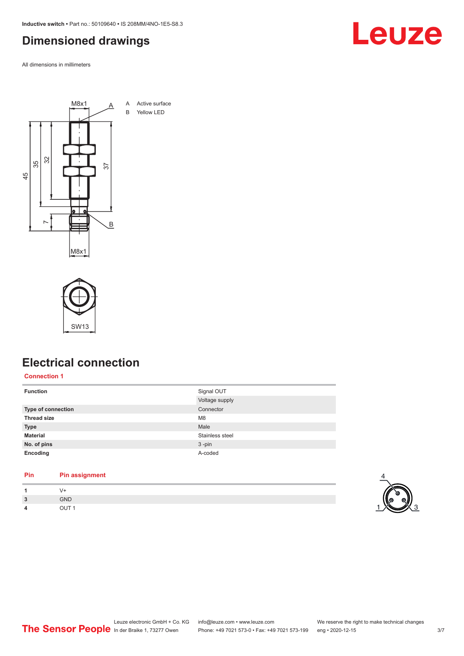<span id="page-2-0"></span>**Inductive switch •** Part no.: 50109640 **•** IS 208MM/4NO-1E5-S8.3

## **Dimensioned drawings**

All dimensions in millimeters





## **Electrical connection**

**Connection 1**

| <b>Function</b>           | Signal OUT      |
|---------------------------|-----------------|
|                           | Voltage supply  |
| <b>Type of connection</b> | Connector       |
| <b>Thread size</b>        | M <sub>8</sub>  |
| <b>Type</b>               | Male            |
| <b>Material</b>           | Stainless steel |
| No. of pins               | $3 - pin$       |
| Encoding                  | A-coded         |

#### **Pin Pin assignment**

| <b>PIII</b> | Pin assignment   |  |
|-------------|------------------|--|
|             | V+               |  |
| 3           | <b>GND</b>       |  |
| 4           | OUT <sub>1</sub> |  |
|             |                  |  |

4

Leuze

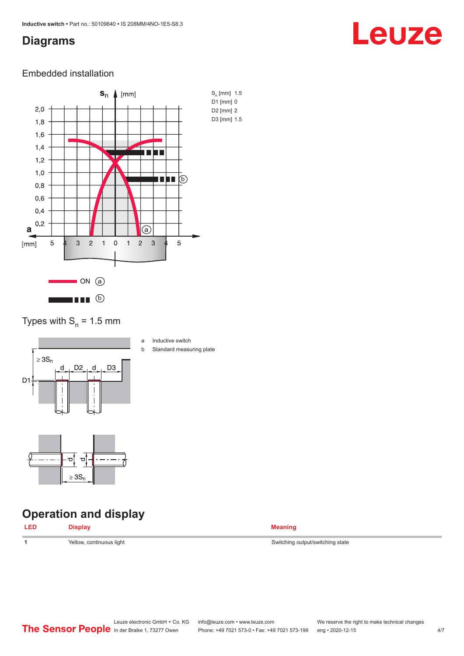### <span id="page-3-0"></span>**Diagrams**

## Leuze

#### Embedded installation



Types with  $S_n = 1.5$  mm



- a Inductive switch
- b Standard measuring plate

## **Operation and display**

ರ

≥ 3S<sup>n</sup>

ರ∥



**1 1** Switching output/switching state Switching output/switching state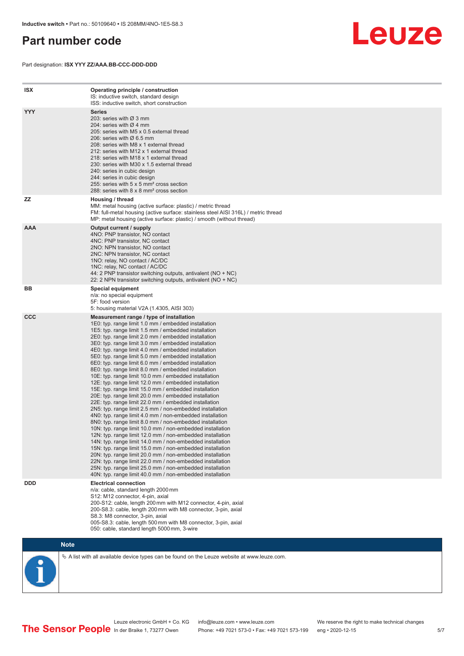### <span id="page-4-0"></span>**Part number code**

Part designation: **ISX YYY ZZ/AAA.BB-CCC-DDD-DDD**



| <b>ISX</b> | Operating principle / construction<br>IS: inductive switch, standard design<br>ISS: inductive switch, short construction                                                                                                                                                                                                                                                                                                                                                                                                                                                                                                                                                                                                                                                                                                                                                                                                                                                                                                                                                                                                                                                                                                                                                                                                                                                                                                                                                                          |
|------------|---------------------------------------------------------------------------------------------------------------------------------------------------------------------------------------------------------------------------------------------------------------------------------------------------------------------------------------------------------------------------------------------------------------------------------------------------------------------------------------------------------------------------------------------------------------------------------------------------------------------------------------------------------------------------------------------------------------------------------------------------------------------------------------------------------------------------------------------------------------------------------------------------------------------------------------------------------------------------------------------------------------------------------------------------------------------------------------------------------------------------------------------------------------------------------------------------------------------------------------------------------------------------------------------------------------------------------------------------------------------------------------------------------------------------------------------------------------------------------------------------|
| <b>YYY</b> | <b>Series</b><br>203: series with Ø 3 mm<br>204: series with $\varnothing$ 4 mm<br>205: series with M5 x 0.5 external thread<br>206: series with $\varnothing$ 6.5 mm<br>208: series with M8 x 1 external thread<br>212: series with M12 x 1 external thread<br>218: series with M18 x 1 external thread<br>230: series with M30 x 1.5 external thread<br>240: series in cubic design<br>244: series in cubic design<br>255: series with 5 x 5 mm <sup>2</sup> cross section<br>288: series with 8 x 8 mm <sup>2</sup> cross section                                                                                                                                                                                                                                                                                                                                                                                                                                                                                                                                                                                                                                                                                                                                                                                                                                                                                                                                                              |
| ZZ         | Housing / thread<br>MM: metal housing (active surface: plastic) / metric thread<br>FM: full-metal housing (active surface: stainless steel AISI 316L) / metric thread<br>MP: metal housing (active surface: plastic) / smooth (without thread)                                                                                                                                                                                                                                                                                                                                                                                                                                                                                                                                                                                                                                                                                                                                                                                                                                                                                                                                                                                                                                                                                                                                                                                                                                                    |
| <b>AAA</b> | Output current / supply<br>4NO: PNP transistor, NO contact<br>4NC: PNP transistor, NC contact<br>2NO: NPN transistor, NO contact<br>2NC: NPN transistor, NC contact<br>1NO: relay, NO contact / AC/DC<br>1NC: relay, NC contact / AC/DC<br>44: 2 PNP transistor switching outputs, antivalent (NO + NC)<br>22: 2 NPN transistor switching outputs, antivalent (NO + NC)                                                                                                                                                                                                                                                                                                                                                                                                                                                                                                                                                                                                                                                                                                                                                                                                                                                                                                                                                                                                                                                                                                                           |
| BB         | <b>Special equipment</b><br>n/a: no special equipment<br>5F: food version<br>5: housing material V2A (1.4305, AISI 303)                                                                                                                                                                                                                                                                                                                                                                                                                                                                                                                                                                                                                                                                                                                                                                                                                                                                                                                                                                                                                                                                                                                                                                                                                                                                                                                                                                           |
| <b>CCC</b> | Measurement range / type of installation<br>1E0: typ. range limit 1.0 mm / embedded installation<br>1E5: typ. range limit 1.5 mm / embedded installation<br>2E0: typ. range limit 2.0 mm / embedded installation<br>3E0: typ. range limit 3.0 mm / embedded installation<br>4E0: typ. range limit 4.0 mm / embedded installation<br>5E0: typ. range limit 5.0 mm / embedded installation<br>6E0: typ. range limit 6.0 mm / embedded installation<br>8E0: typ. range limit 8.0 mm / embedded installation<br>10E: typ. range limit 10.0 mm / embedded installation<br>12E: typ. range limit 12.0 mm / embedded installation<br>15E: typ. range limit 15.0 mm / embedded installation<br>20E: typ. range limit 20.0 mm / embedded installation<br>22E: typ. range limit 22.0 mm / embedded installation<br>2N5: typ. range limit 2.5 mm / non-embedded installation<br>4N0: typ. range limit 4.0 mm / non-embedded installation<br>8N0: typ. range limit 8.0 mm / non-embedded installation<br>10N: typ. range limit 10.0 mm / non-embedded installation<br>12N: typ. range limit 12.0 mm / non-embedded installation<br>14N: typ. range limit 14.0 mm / non-embedded installation<br>15N: typ. range limit 15.0 mm / non-embedded installation<br>20N: typ. range limit 20.0 mm / non-embedded installation<br>22N: typ. range limit 22.0 mm / non-embedded installation<br>25N: typ. range limit 25.0 mm / non-embedded installation<br>40N: typ. range limit 40.0 mm / non-embedded installation |
| <b>DDD</b> | <b>Electrical connection</b><br>n/a: cable, standard length 2000 mm<br>S12: M12 connector, 4-pin, axial<br>200-S12: cable, length 200 mm with M12 connector, 4-pin, axial<br>200-S8.3: cable, length 200 mm with M8 connector, 3-pin, axial<br>S8.3: M8 connector, 3-pin, axial<br>005-S8.3: cable, length 500 mm with M8 connector, 3-pin, axial<br>050: cable, standard length 5000 mm, 3-wire                                                                                                                                                                                                                                                                                                                                                                                                                                                                                                                                                                                                                                                                                                                                                                                                                                                                                                                                                                                                                                                                                                  |

**Note**

 $\%$  A list with all available device types can be found on the Leuze website at www.leuze.com.

In der Braike 1, 73277 Owen Phone: +49 7021 573-0 • Fax: +49 7021 573-199 eng • 2020-12-15

Leuze electronic GmbH + Co. KG info@leuze.com • www.leuze.com We reserve the right to make technical changes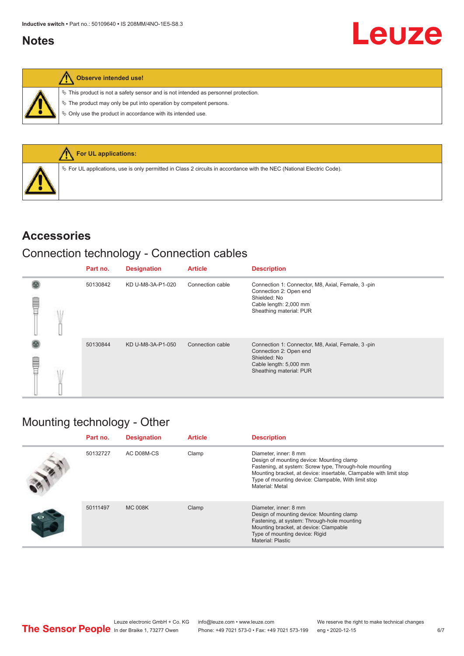### <span id="page-5-0"></span>**Notes**

| ١ | Observe intended use! |  |  |
|---|-----------------------|--|--|
|---|-----------------------|--|--|

 $\%$  This product is not a safety sensor and is not intended as personnel protection.

 $\&$  The product may only be put into operation by competent persons.

 $\%$  Only use the product in accordance with its intended use.



#### **Accessories**

## Connection technology - Connection cables

|        | Part no. | <b>Designation</b> | <b>Article</b>   | <b>Description</b>                                                                                                                               |
|--------|----------|--------------------|------------------|--------------------------------------------------------------------------------------------------------------------------------------------------|
| E<br>F | 50130842 | KD U-M8-3A-P1-020  | Connection cable | Connection 1: Connector, M8, Axial, Female, 3-pin<br>Connection 2: Open end<br>Shielded: No<br>Cable length: 2,000 mm<br>Sheathing material: PUR |
| E<br>F | 50130844 | KD U-M8-3A-P1-050  | Connection cable | Connection 1: Connector, M8, Axial, Female, 3-pin<br>Connection 2: Open end<br>Shielded: No<br>Cable length: 5,000 mm<br>Sheathing material: PUR |

## Mounting technology - Other

| Part no. | <b>Designation</b> | <b>Article</b> | <b>Description</b>                                                                                                                                                                                                                                                            |
|----------|--------------------|----------------|-------------------------------------------------------------------------------------------------------------------------------------------------------------------------------------------------------------------------------------------------------------------------------|
| 50132727 | AC D08M-CS         | Clamp          | Diameter, inner: 8 mm<br>Design of mounting device: Mounting clamp<br>Fastening, at system: Screw type, Through-hole mounting<br>Mounting bracket, at device: insertable, Clampable with limit stop<br>Type of mounting device: Clampable, With limit stop<br>Material: Metal |
| 50111497 | <b>MC 008K</b>     | Clamp          | Diameter, inner: 8 mm<br>Design of mounting device: Mounting clamp<br>Fastening, at system: Through-hole mounting<br>Mounting bracket, at device: Clampable<br>Type of mounting device: Rigid<br>Material: Plastic                                                            |

Leuze